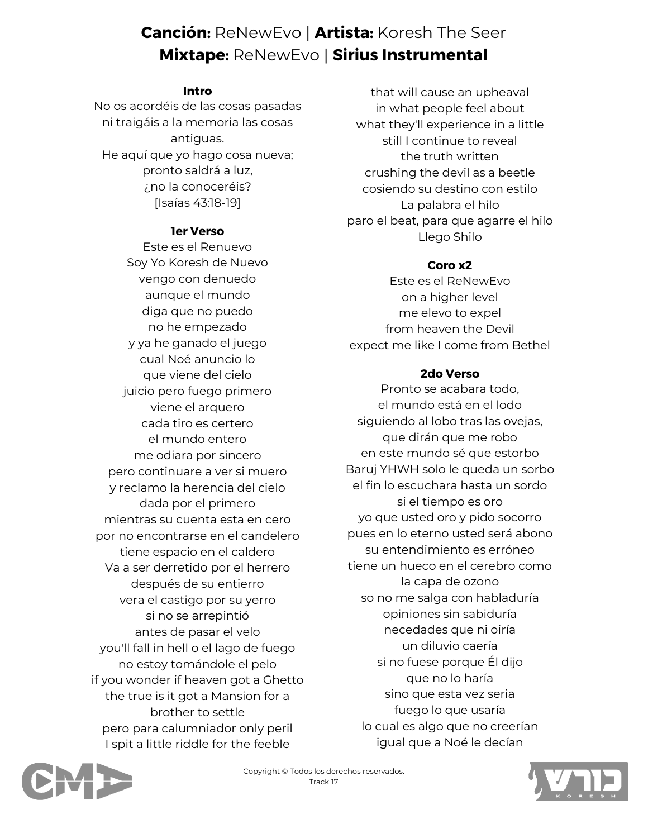# **Canción:** ReNewEvo | **Artista:** Koresh The Seer **Mixtape:** ReNewEvo | **Sirius Instrumental**

## **Intro**

No os acordéis de las cosas pasadas ni traigáis a la memoria las cosas antiguas. He aquí que yo hago cosa nueva; pronto saldrá a luz, ¿no la conoceréis? [Isaías 43:18-19]

## **1er Verso**

Este es el Renuevo Soy Yo Koresh de Nuevo vengo con denuedo aunque el mundo diga que no puedo no he empezado y ya he ganado el juego cual Noé anuncio lo que viene del cielo juicio pero fuego primero viene el arquero cada tiro es certero el mundo entero me odiara por sincero pero continuare a ver si muero y reclamo la herencia del cielo dada por el primero mientras su cuenta esta en cero por no encontrarse en el candelero tiene espacio en el caldero Va a ser derretido por el herrero después de su entierro vera el castigo por su yerro si no se arrepintió antes de pasar el velo you'll fall in hell o el lago de fuego no estoy tomándole el pelo if you wonder if heaven got a Ghetto the true is it got a Mansion for a brother to settle pero para calumniador only peril I spit a little riddle for the feeble

that will cause an upheaval in what people feel about what they'll experience in a little still I continue to reveal the truth written crushing the devil as a beetle cosiendo su destino con estilo La palabra el hilo paro el beat, para que agarre el hilo Llego Shilo

# **Coro x2**

Este es el ReNewEvo on a higher level me elevo to expel from heaven the Devil expect me like I come from Bethel

# **2do Verso**

Pronto se acabara todo, el mundo está en el lodo siguiendo al lobo tras las ovejas, que dirán que me robo en este mundo sé que estorbo Baruj YHWH solo le queda un sorbo el fin lo escuchara hasta un sordo si el tiempo es oro yo que usted oro y pido socorro pues en lo eterno usted será abono su entendimiento es erróneo tiene un hueco en el cerebro como la capa de ozono so no me salga con habladuría opiniones sin sabiduría necedades que ni oiría un diluvio caería si no fuese porque Él dijo que no lo haría sino que esta vez seria fuego lo que usaría lo cual es algo que no creerían igual que a Noé le decían